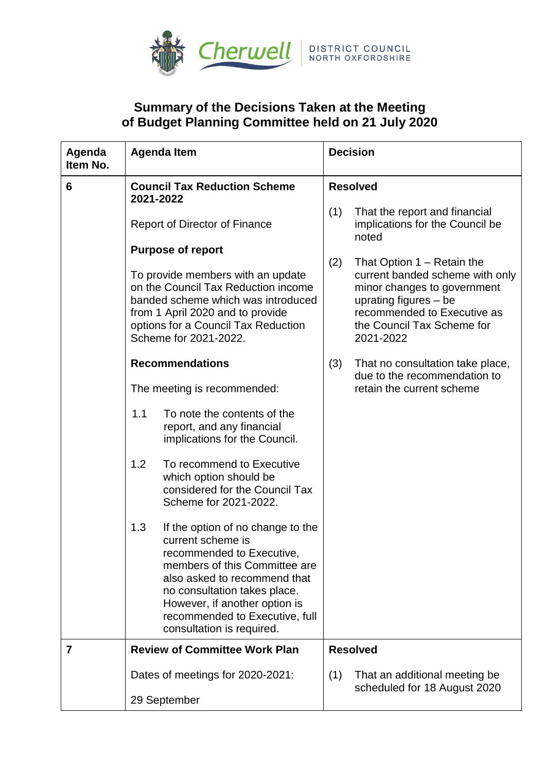

## **Summary of the Decisions Taken at the Meeting of Budget Planning Committee held on 21 July 2020**

| Agenda<br>Item No. | <b>Agenda Item</b>                                                                                                                                                                                                                                                                          | <b>Decision</b>                                                                                                                                                                                          |
|--------------------|---------------------------------------------------------------------------------------------------------------------------------------------------------------------------------------------------------------------------------------------------------------------------------------------|----------------------------------------------------------------------------------------------------------------------------------------------------------------------------------------------------------|
| 6                  | <b>Council Tax Reduction Scheme</b><br>2021-2022                                                                                                                                                                                                                                            | <b>Resolved</b>                                                                                                                                                                                          |
|                    | Report of Director of Finance                                                                                                                                                                                                                                                               | (1)<br>That the report and financial<br>implications for the Council be<br>noted                                                                                                                         |
|                    | <b>Purpose of report</b><br>To provide members with an update<br>on the Council Tax Reduction income<br>banded scheme which was introduced<br>from 1 April 2020 and to provide<br>options for a Council Tax Reduction<br>Scheme for 2021-2022.                                              | (2)<br>That Option 1 – Retain the<br>current banded scheme with only<br>minor changes to government<br>uprating figures $-$ be<br>recommended to Executive as<br>the Council Tax Scheme for<br>2021-2022 |
|                    | <b>Recommendations</b>                                                                                                                                                                                                                                                                      | (3)<br>That no consultation take place,<br>due to the recommendation to                                                                                                                                  |
|                    | The meeting is recommended:                                                                                                                                                                                                                                                                 | retain the current scheme                                                                                                                                                                                |
|                    | 1.1<br>To note the contents of the<br>report, and any financial<br>implications for the Council.                                                                                                                                                                                            |                                                                                                                                                                                                          |
|                    | 1.2<br>To recommend to Executive<br>which option should be<br>considered for the Council Tax<br>Scheme for 2021-2022.                                                                                                                                                                       |                                                                                                                                                                                                          |
|                    | 1.3<br>If the option of no change to the<br>current scheme is<br>recommended to Executive,<br>members of this Committee are<br>also asked to recommend that<br>no consultation takes place.<br>However, if another option is<br>recommended to Executive, full<br>consultation is required. |                                                                                                                                                                                                          |
| 7                  | <b>Review of Committee Work Plan</b>                                                                                                                                                                                                                                                        | <b>Resolved</b>                                                                                                                                                                                          |
|                    | Dates of meetings for 2020-2021:                                                                                                                                                                                                                                                            | That an additional meeting be<br>(1)<br>scheduled for 18 August 2020                                                                                                                                     |
|                    | 29 September                                                                                                                                                                                                                                                                                |                                                                                                                                                                                                          |